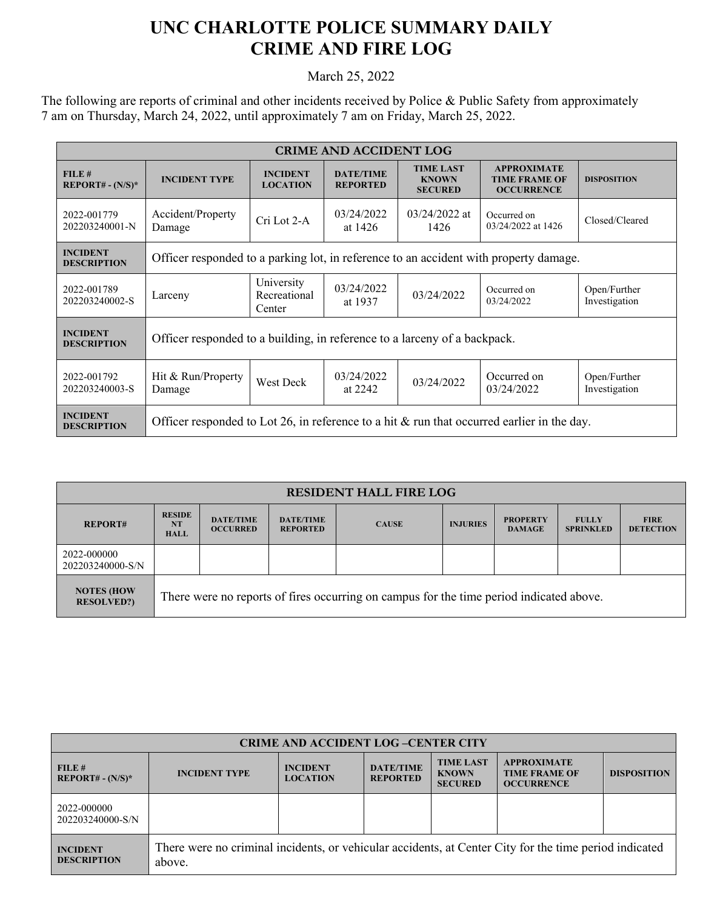## **UNC CHARLOTTE POLICE SUMMARY DAILY CRIME AND FIRE LOG**

March 25, 2022

The following are reports of criminal and other incidents received by Police & Public Safety from approximately 7 am on Thursday, March 24, 2022, until approximately 7 am on Friday, March 25, 2022.

| <b>CRIME AND ACCIDENT LOG</b>         |                                                                                               |                                      |                                     |                                                    |                                                                 |                               |  |  |
|---------------------------------------|-----------------------------------------------------------------------------------------------|--------------------------------------|-------------------------------------|----------------------------------------------------|-----------------------------------------------------------------|-------------------------------|--|--|
| FILE#<br>$REPORT# - (N/S)*$           | <b>INCIDENT TYPE</b>                                                                          | <b>INCIDENT</b><br><b>LOCATION</b>   | <b>DATE/TIME</b><br><b>REPORTED</b> | <b>TIME LAST</b><br><b>KNOWN</b><br><b>SECURED</b> | <b>APPROXIMATE</b><br><b>TIME FRAME OF</b><br><b>OCCURRENCE</b> | <b>DISPOSITION</b>            |  |  |
| 2022-001779<br>202203240001-N         | Accident/Property<br>Damage                                                                   | Cri Lot 2-A                          | 03/24/2022<br>at 1426               | $03/24/2022$ at<br>1426                            | Occurred on<br>03/24/2022 at 1426                               | Closed/Cleared                |  |  |
| <b>INCIDENT</b><br><b>DESCRIPTION</b> | Officer responded to a parking lot, in reference to an accident with property damage.         |                                      |                                     |                                                    |                                                                 |                               |  |  |
| 2022-001789<br>202203240002-S         | Larceny                                                                                       | University<br>Recreational<br>Center | 03/24/2022<br>at 1937               | 03/24/2022                                         | Occurred on<br>03/24/2022                                       | Open/Further<br>Investigation |  |  |
| <b>INCIDENT</b><br><b>DESCRIPTION</b> | Officer responded to a building, in reference to a larceny of a backpack.                     |                                      |                                     |                                                    |                                                                 |                               |  |  |
| 2022-001792<br>202203240003-S         | Hit & Run/Property<br>Damage                                                                  | <b>West Deck</b>                     | 03/24/2022<br>at 2242               | 03/24/2022                                         | Occurred on<br>03/24/2022                                       | Open/Further<br>Investigation |  |  |
| <b>INCIDENT</b><br><b>DESCRIPTION</b> | Officer responded to Lot 26, in reference to a hit $\&$ run that occurred earlier in the day. |                                      |                                     |                                                    |                                                                 |                               |  |  |

| <b>RESIDENT HALL FIRE LOG</b>         |                                                                                         |                                     |                                     |              |                 |                                  |                                  |                                 |
|---------------------------------------|-----------------------------------------------------------------------------------------|-------------------------------------|-------------------------------------|--------------|-----------------|----------------------------------|----------------------------------|---------------------------------|
| <b>REPORT#</b>                        | <b>RESIDE</b><br><b>NT</b><br><b>HALL</b>                                               | <b>DATE/TIME</b><br><b>OCCURRED</b> | <b>DATE/TIME</b><br><b>REPORTED</b> | <b>CAUSE</b> | <b>INJURIES</b> | <b>PROPERTY</b><br><b>DAMAGE</b> | <b>FULLY</b><br><b>SPRINKLED</b> | <b>FIRE</b><br><b>DETECTION</b> |
| 2022-000000<br>202203240000-S/N       |                                                                                         |                                     |                                     |              |                 |                                  |                                  |                                 |
| <b>NOTES (HOW</b><br><b>RESOLVED?</b> | There were no reports of fires occurring on campus for the time period indicated above. |                                     |                                     |              |                 |                                  |                                  |                                 |

| <b>CRIME AND ACCIDENT LOG-CENTER CITY</b> |                                                                                                                  |                                    |                                     |                                                    |                                                                 |                    |  |
|-------------------------------------------|------------------------------------------------------------------------------------------------------------------|------------------------------------|-------------------------------------|----------------------------------------------------|-----------------------------------------------------------------|--------------------|--|
| FILE#<br><b>REPORT#</b> - $(N/S)^*$       | <b>INCIDENT TYPE</b>                                                                                             | <b>INCIDENT</b><br><b>LOCATION</b> | <b>DATE/TIME</b><br><b>REPORTED</b> | <b>TIME LAST</b><br><b>KNOWN</b><br><b>SECURED</b> | <b>APPROXIMATE</b><br><b>TIME FRAME OF</b><br><b>OCCURRENCE</b> | <b>DISPOSITION</b> |  |
| 2022-000000<br>202203240000-S/N           |                                                                                                                  |                                    |                                     |                                                    |                                                                 |                    |  |
| <b>INCIDENT</b><br><b>DESCRIPTION</b>     | There were no criminal incidents, or vehicular accidents, at Center City for the time period indicated<br>above. |                                    |                                     |                                                    |                                                                 |                    |  |